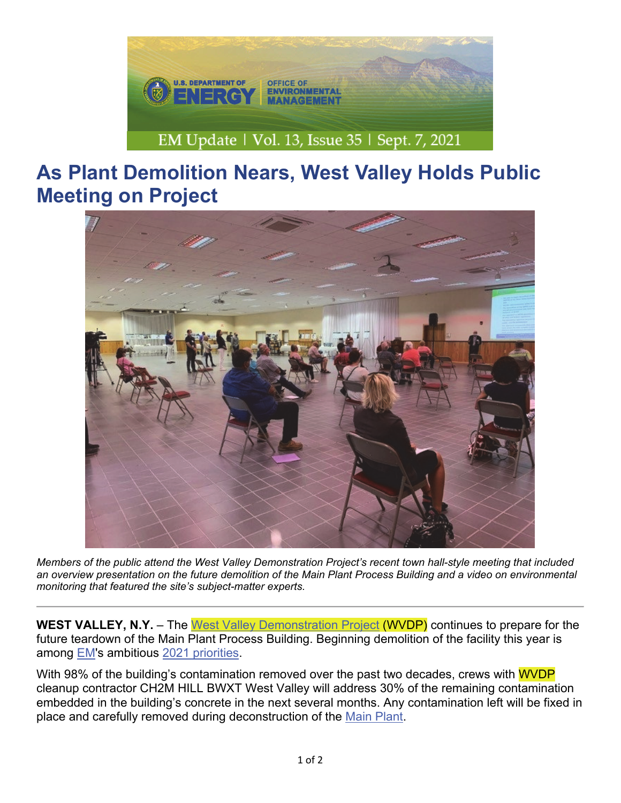

## **As Plant Demolition Nears, West Valley Holds Public Meeting on Project**



*Members of the public attend the West Valley Demonstration Project's recent town hall-style meeting that included an overview presentation on the future demolition of the Main Plant Process Building and a video on environmental monitoring that featured the site's subject-matter experts.*

**WEST VALLEY, N.Y.** – The West Valley Demonstration Project (WVDP) continues to prepare for the future teardown of the Main Plant Process Building. Beginning demolition of the facility this year is among EM's ambitious 2021 priorities.

With 98% of the building's contamination removed over the past two decades, crews with WVDP cleanup contractor CH2M HILL BWXT West Valley will address 30% of the remaining contamination embedded in the building's concrete in the next several months. Any contamination left will be fixed in place and carefully removed during deconstruction of the Main Plant.